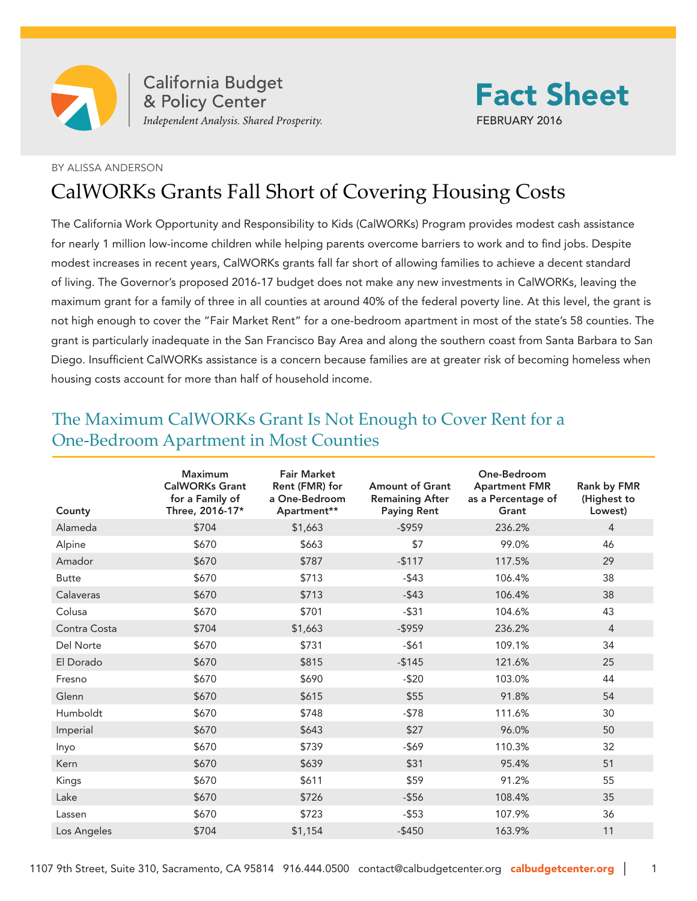

California Budget<br>& Policy Center<br>Independent Analysis. Shared Prosperity.



## BY ALISSA ANDERSON

## CalWORKs Grants Fall Short of Covering Housing Costs

The California Work Opportunity and Responsibility to Kids (CalWORKs) Program provides modest cash assistance for nearly 1 million low-income children while helping parents overcome barriers to work and to find jobs. Despite modest increases in recent years, CalWORKs grants fall far short of allowing families to achieve a decent standard of living. The Governor's proposed 2016-17 budget does not make any new investments in CalWORKs, leaving the maximum grant for a family of three in all counties at around 40% of the federal poverty line. At this level, the grant is not high enough to cover the "Fair Market Rent" for a one-bedroom apartment in most of the state's 58 counties. The grant is particularly inadequate in the San Francisco Bay Area and along the southern coast from Santa Barbara to San Diego. Insufficient CalWORKs assistance is a concern because families are at greater risk of becoming homeless when housing costs account for more than half of household income.

| County       | Maximum<br><b>CalWORKs Grant</b><br>for a Family of<br>Three, 2016-17* | <b>Fair Market</b><br>Rent (FMR) for<br>a One-Bedroom<br>Apartment** | <b>Amount of Grant</b><br><b>Remaining After</b><br><b>Paying Rent</b> | One-Bedroom<br><b>Apartment FMR</b><br>as a Percentage of<br>Grant | Rank by FMR<br>(Highest to<br>Lowest) |
|--------------|------------------------------------------------------------------------|----------------------------------------------------------------------|------------------------------------------------------------------------|--------------------------------------------------------------------|---------------------------------------|
| Alameda      | \$704                                                                  | \$1,663                                                              | $-$ \$959                                                              | 236.2%                                                             | $\overline{4}$                        |
| Alpine       | \$670                                                                  | \$663                                                                | \$7                                                                    | 99.0%                                                              | 46                                    |
| Amador       | \$670                                                                  | \$787                                                                | $-$117$                                                                | 117.5%                                                             | 29                                    |
| <b>Butte</b> | \$670                                                                  | \$713                                                                | $-$ \$43                                                               | 106.4%                                                             | 38                                    |
| Calaveras    | \$670                                                                  | \$713                                                                | $-$ \$43                                                               | 106.4%                                                             | 38                                    |
| Colusa       | \$670                                                                  | \$701                                                                | $-$ \$31                                                               | 104.6%                                                             | 43                                    |
| Contra Costa | \$704                                                                  | \$1,663                                                              | $-$ \$959                                                              | 236.2%                                                             | $\overline{4}$                        |
| Del Norte    | \$670                                                                  | \$731                                                                | $-561$                                                                 | 109.1%                                                             | 34                                    |
| El Dorado    | \$670                                                                  | \$815                                                                | $-$145$                                                                | 121.6%                                                             | 25                                    |
| Fresno       | \$670                                                                  | \$690                                                                | $-520$                                                                 | 103.0%                                                             | 44                                    |
| Glenn        | \$670                                                                  | \$615                                                                | \$55                                                                   | 91.8%                                                              | 54                                    |
| Humboldt     | \$670                                                                  | \$748                                                                | $-578$                                                                 | 111.6%                                                             | 30                                    |
| Imperial     | \$670                                                                  | \$643                                                                | \$27                                                                   | 96.0%                                                              | 50                                    |
| Inyo         | \$670                                                                  | \$739                                                                | $-569$                                                                 | 110.3%                                                             | 32                                    |
| Kern         | \$670                                                                  | \$639                                                                | \$31                                                                   | 95.4%                                                              | 51                                    |
| Kings        | \$670                                                                  | \$611                                                                | \$59                                                                   | 91.2%                                                              | 55                                    |
| Lake         | \$670                                                                  | \$726                                                                | $-$ \$56                                                               | 108.4%                                                             | 35                                    |
| Lassen       | \$670                                                                  | \$723                                                                | $-$ \$53                                                               | 107.9%                                                             | 36                                    |
| Los Angeles  | \$704                                                                  | \$1,154                                                              | $-$ \$450                                                              | 163.9%                                                             | 11                                    |

## The Maximum CalWORKs Grant Is Not Enough to Cover Rent for a One-Bedroom Apartment in Most Counties